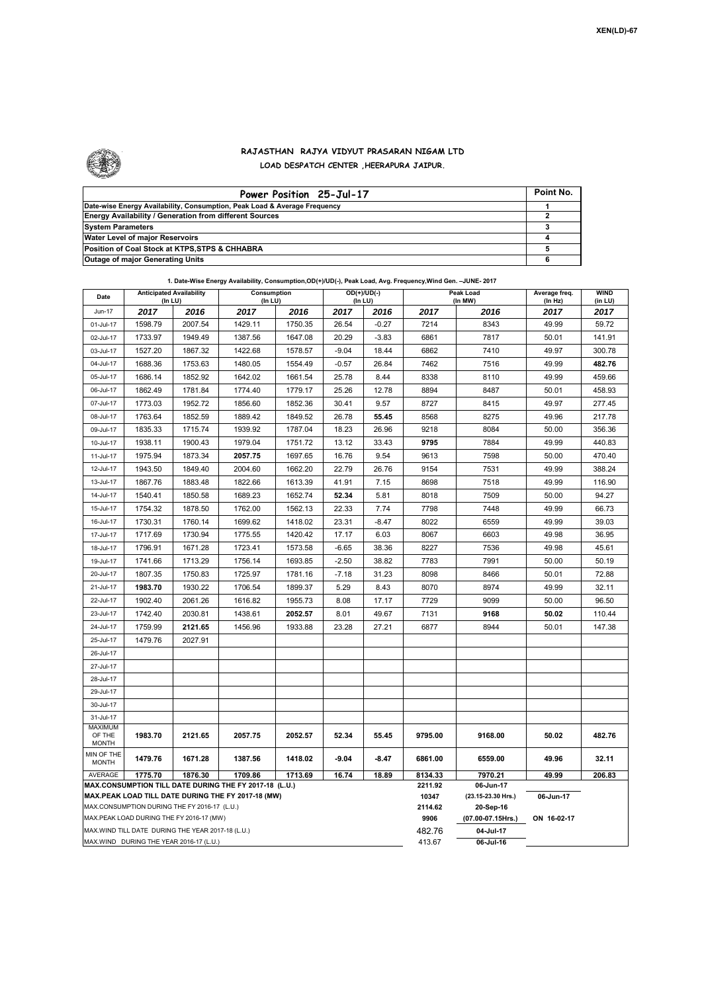

## **RAJASTHAN RAJYA VIDYUT PRASARAN NIGAM LTD LOAD DESPATCH CENTER ,HEERAPURA JAIPUR.**

| Power Position 25-Jul-17                                                  | Point No. |
|---------------------------------------------------------------------------|-----------|
| Date-wise Energy Availability, Consumption, Peak Load & Average Frequency |           |
| <b>Energy Availability / Generation from different Sources</b>            |           |
| <b>System Parameters</b>                                                  |           |
| Water Level of major Reservoirs                                           |           |
| Position of Coal Stock at KTPS, STPS & CHHABRA                            |           |
| <b>Outage of major Generating Units</b>                                   |           |

| 1. Date-Wise Energy Availability, Consumption,OD(+)/UD(-), Peak Load, Avg. Frequency, Wind Gen. -JUNE- 2017 |
|-------------------------------------------------------------------------------------------------------------|
|-------------------------------------------------------------------------------------------------------------|

| Date                                                                                                         | <b>Anticipated Availability</b><br>(In LU) |         | Consumption<br>(In LU) |         | $OD(+)/UD(-)$<br>(In LU) |         |                    | Peak Load<br>(In MW)            | Average freq.<br>(In Hz) | <b>WIND</b><br>(in LU) |  |  |  |
|--------------------------------------------------------------------------------------------------------------|--------------------------------------------|---------|------------------------|---------|--------------------------|---------|--------------------|---------------------------------|--------------------------|------------------------|--|--|--|
| Jun-17                                                                                                       | 2017                                       | 2016    | 2017                   | 2016    | 2017                     | 2016    | 2017               | 2016                            | 2017                     | 2017                   |  |  |  |
| 01-Jul-17                                                                                                    | 1598.79                                    | 2007.54 | 1429.11                | 1750.35 | 26.54                    | $-0.27$ | 7214               | 8343                            | 49.99                    | 59.72                  |  |  |  |
| 02-Jul-17                                                                                                    | 1733.97                                    | 1949.49 | 1387.56                | 1647.08 | 20.29                    | $-3.83$ | 6861               | 7817                            | 50.01                    | 141.91                 |  |  |  |
| 03-Jul-17                                                                                                    | 1527.20                                    | 1867.32 | 1422.68                | 1578.57 | $-9.04$                  | 18.44   | 6862               | 7410                            | 49.97                    | 300.78                 |  |  |  |
| 04-Jul-17                                                                                                    | 1688.36                                    | 1753.63 | 1480.05                | 1554.49 | $-0.57$                  | 26.84   | 7462               | 7516                            | 49.99                    | 482.76                 |  |  |  |
| 05-Jul-17                                                                                                    | 1686.14                                    | 1852.92 | 1642.02                | 1661.54 | 25.78                    | 8.44    | 8338               | 8110                            | 49.99                    | 459.66                 |  |  |  |
| 06-Jul-17                                                                                                    | 1862.49                                    | 1781.84 | 1774.40                | 1779.17 | 25.26                    | 12.78   | 8894               | 8487                            | 50.01                    | 458.93                 |  |  |  |
| 07-Jul-17                                                                                                    | 1773.03                                    | 1952.72 | 1856.60                | 1852.36 | 30.41                    | 9.57    | 8727               | 8415                            | 49.97                    | 277.45                 |  |  |  |
| 08-Jul-17                                                                                                    | 1763.64                                    | 1852.59 | 1889.42                | 1849.52 | 26.78                    | 55.45   | 8568               | 8275                            | 49.96                    | 217.78                 |  |  |  |
| 09-Jul-17                                                                                                    | 1835.33                                    | 1715.74 | 1939.92                | 1787.04 | 18.23                    | 26.96   | 9218               | 8084                            | 50.00                    | 356.36                 |  |  |  |
| 10-Jul-17                                                                                                    | 1938.11                                    | 1900.43 | 1979.04                | 1751.72 | 13.12                    | 33.43   | 9795               | 7884                            | 49.99                    | 440.83                 |  |  |  |
| 11-Jul-17                                                                                                    | 1975.94                                    | 1873.34 | 2057.75                | 1697.65 | 16.76                    | 9.54    | 9613               | 7598                            | 50.00                    | 470.40                 |  |  |  |
| 12-Jul-17                                                                                                    | 1943.50                                    | 1849.40 | 2004.60                | 1662.20 | 22.79                    | 26.76   | 9154               | 7531                            | 49.99                    | 388.24                 |  |  |  |
| 13-Jul-17                                                                                                    | 1867.76                                    | 1883.48 | 1822.66                | 1613.39 | 41.91                    | 7.15    | 8698               | 7518                            | 49.99                    | 116.90                 |  |  |  |
| 14-Jul-17                                                                                                    | 1540.41                                    | 1850.58 | 1689.23                | 1652.74 | 52.34                    | 5.81    | 8018               | 7509                            | 50.00                    | 94.27                  |  |  |  |
| 15-Jul-17                                                                                                    | 1754.32                                    | 1878.50 | 1762.00                | 1562.13 | 22.33                    | 7.74    | 7798               | 7448                            | 49.99                    | 66.73                  |  |  |  |
| 16-Jul-17                                                                                                    | 1730.31                                    | 1760.14 | 1699.62                | 1418.02 | 23.31                    | $-8.47$ | 8022               | 6559                            | 49.99                    | 39.03                  |  |  |  |
| 17-Jul-17                                                                                                    | 1717.69                                    | 1730.94 | 1775.55                | 1420.42 | 17.17                    | 6.03    | 8067               | 6603                            | 49.98                    | 36.95                  |  |  |  |
| 18-Jul-17                                                                                                    | 1796.91                                    | 1671.28 | 1723.41                | 1573.58 | -6.65                    | 38.36   | 8227               | 7536                            | 49.98                    | 45.61                  |  |  |  |
| 19-Jul-17                                                                                                    | 1741.66                                    | 1713.29 | 1756.14                | 1693.85 | $-2.50$                  | 38.82   | 7783               | 7991                            | 50.00                    | 50.19                  |  |  |  |
| 20-Jul-17                                                                                                    | 1807.35                                    | 1750.83 | 1725.97                | 1781.16 | $-7.18$                  | 31.23   | 8098               | 8466                            | 50.01                    | 72.88                  |  |  |  |
| 21-Jul-17                                                                                                    | 1983.70                                    | 1930.22 | 1706.54                | 1899.37 | 5.29                     | 8.43    | 8070               | 8974                            | 49.99                    | 32.11                  |  |  |  |
| 22-Jul-17                                                                                                    | 1902.40                                    | 2061.26 | 1616.82                | 1955.73 | 8.08                     | 17.17   | 7729               | 9099                            | 50.00                    | 96.50                  |  |  |  |
| 23-Jul-17                                                                                                    | 1742.40                                    | 2030.81 | 1438.61                | 2052.57 | 8.01                     | 49.67   | 7131               | 9168                            | 50.02                    | 110.44                 |  |  |  |
| 24-Jul-17                                                                                                    | 1759.99                                    | 2121.65 | 1456.96                | 1933.88 | 23.28                    | 27.21   | 6877               | 8944                            | 50.01                    | 147.38                 |  |  |  |
| 25-Jul-17                                                                                                    | 1479.76                                    | 2027.91 |                        |         |                          |         |                    |                                 |                          |                        |  |  |  |
| 26-Jul-17                                                                                                    |                                            |         |                        |         |                          |         |                    |                                 |                          |                        |  |  |  |
| 27-Jul-17                                                                                                    |                                            |         |                        |         |                          |         |                    |                                 |                          |                        |  |  |  |
| 28-Jul-17                                                                                                    |                                            |         |                        |         |                          |         |                    |                                 |                          |                        |  |  |  |
| 29-Jul-17                                                                                                    |                                            |         |                        |         |                          |         |                    |                                 |                          |                        |  |  |  |
| 30-Jul-17                                                                                                    |                                            |         |                        |         |                          |         |                    |                                 |                          |                        |  |  |  |
| 31-Jul-17                                                                                                    |                                            |         |                        |         |                          |         |                    |                                 |                          |                        |  |  |  |
| MAXIMUM<br>OF THE                                                                                            | 1983.70                                    | 2121.65 | 2057.75                | 2052.57 | 52.34                    | 55.45   | 9795.00            | 9168.00                         | 50.02                    | 482.76                 |  |  |  |
| <b>MONTH</b>                                                                                                 |                                            |         |                        |         |                          |         |                    |                                 |                          |                        |  |  |  |
| MIN OF THE<br><b>MONTH</b>                                                                                   | 1479.76                                    | 1671.28 | 1387.56                | 1418.02 | $-9.04$                  | $-8.47$ | 6861.00            | 6559.00                         | 49.96                    | 32.11                  |  |  |  |
| 1775.70<br>1876.30<br>1709.86<br>1713.69<br>16.74<br>18.89<br>AVERAGE                                        |                                            |         |                        |         |                          |         | 8134.33<br>2211.92 | 7970.21                         | 49.99<br>206.83          |                        |  |  |  |
| MAX.CONSUMPTION TILL DATE DURING THE FY 2017-18 (L.U.)<br>MAX.PEAK LOAD TILL DATE DURING THE FY 2017-18 (MW) |                                            |         |                        |         |                          |         |                    | 06-Jun-17<br>(23.15-23.30 Hrs.) | 06-Jun-17                |                        |  |  |  |
| MAX.CONSUMPTION DURING THE FY 2016-17 (L.U.)                                                                 |                                            |         |                        |         |                          |         |                    | 20-Sep-16                       |                          |                        |  |  |  |
| MAX.PEAK LOAD DURING THE FY 2016-17 (MW)                                                                     |                                            |         |                        |         |                          |         |                    | (07.00-07.15Hrs.)               | ON 16-02-17              |                        |  |  |  |
| MAX. WIND TILL DATE DURING THE YEAR 2017-18 (L.U.)                                                           |                                            |         |                        |         |                          |         | 482.76             | 04-Jul-17                       |                          |                        |  |  |  |
| MAX.WIND DURING THE YEAR 2016-17 (L.U.)                                                                      |                                            |         |                        |         |                          |         |                    | 06-Jul-16                       |                          |                        |  |  |  |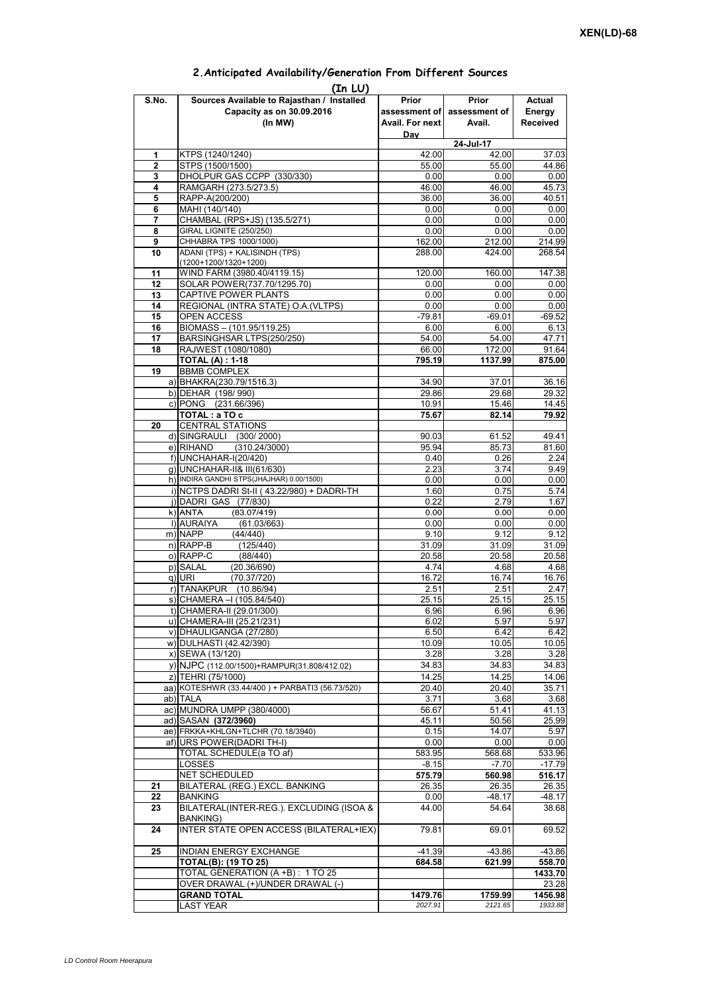## **Prior assessment of Avail. For next Day Prior assessment of Avail. Actual Energy Received 1** KTPS (1240/1240) 42.00 42.00 37.03 **2** STPS (1500/1500) 55.00 55.00 44.86 **3** DHOLPUR GAS CCPP (330/330) **4** RAMGARH (273.5/273.5) 46.00 46.00 46.73<br> **5** RAPP-A(200/200) 40.51 **5** RAPP-A(200/200) **36.00** 36.00 36.00 40.51<br>**6** MAHI (140/140) 0.00 0.00 0.00 0.00 **6** MAHI (140/140) 0.00 0.00 **7** CHAMBAL (RPS+JS) (135.5/271) 0.00 0.00 0.00 0.00 **8** GIRAL LIGNITE (250/250) 0.00 0.00 0.00 0.00<br> **9** CHHABRA TPS 1000/1000) 162.00 212.00 214.99 **9** CHHABRA TPS 1000/1000) **10** ADANI (TPS) + KALISINDH (TPS) (1200+1200/1320+1200) 288.00 424.00 268.54 **11** | WIND FARM (3980.40/4119.15) **120.00** | 120.00 | 160.00 | 147.38 12 SOLAR POWER(737.70/1295.70) 0.00 0.00 0.00 0.00 **13** CAPTIVE POWER PLANTS 0.00 0.00 0.00 0.00 **14** REGIONAL (INTRA STATE) O.A.(VLTPS) 0.00 0.00 0.00 0.00 0.00 15 OPEN ACCESS -79.81 -69.01 -69.52<br>16 BIOMASS – (101.95/119.25) -6.00 6.00 6.13 **BIOMASS – (101.95/119.25)** 17 BARSINGHSAR LTPS(250/250) 54.00 54.00 54.00 54.00 54.771 18 RAJWEST (1080/1080) **18 RAJWEST (1080/1080)** 173.00 112.00 1164<br>TOTAL (A) : 1-18 1137.99 1137.99 175.00 **TOTAL (A) : 1-18 795.19 1137.99 875.00 19** BBMB COMPLEX a) BHAKRA(230.79/1516.3) 34.90 37.01 36.16<br>b) DEHAR (198/990) 329.86 29.88 29.32 b) DEHAR (198/ 990) c) PONG (231.66/396) 10.91 10.91 15.46 14.45 **TOTAL : a TO c** 75.67 82.14 79.92 **20** CENTRAL STATIONS d) SINGRAULI (300/ 2000) 90.03 61.52 49.41  $(310.24/3000)$ f) UNCHAHAR-I(20/420)<br>f) UNCHAHAR-I(20/420) 0.40 0.26 2.24<br>g) UNCHAHAR-II& III(61/630) 2.23 3.74 9.49 g) UNCHAHAR-II& III(61/630) 2.23 3.74 h) INDIRA GANDHI STPS(JHAJHAR) 0.00/1500) 0.00 0.00 0.00 0.00 0.00 0.00 i) NCTPS DADRI St-II (43.22/980) + DADRI-TH 1.60 0.75 0.75 5.74 j) DADRI GAS (77/830) 0.22 2.79 1.67 k) ANTA (83 07/419) 0 00 0 00 0 00 **(In LU) S.No. Sources Available to Rajasthan / Installed Capacity as on 30.09.2016 (In MW) 24-Jul-17** ANTA (83.07/419)0.000.000.00l) AURAIYA (61.03/663) 0.00 0.00 0.00 m) NAPP (44/440) 9.10 9.12 9.12 n) RAPP-B (125/440) 31.09 31.09 31.09 31.09 o) RAPP-C (88/440) 20.58 20.58 20.58 p) SALAL (20.36/690) 4.74 4.68 4.68 4.68<br>q) URI (70.37/720) 4.67 4.68 4.68 4.68 q) URI (70.37/720) 16.72 16.74 16.76 r) TANAKPUR (10.86/94) 2.51 2.47<br>s) CHAMERA –I (105.84/540) 25.15 25.15 25.15 25.15  $\overline{s}$ ) CHAMERA –I (105.84/540) t) CHAMERA-II (29.01/300) 6.96 6.96 6.96 u) CHAMERA-III (25.21/231) 6.02 5.97 5.97 v) DHAULIGANGA (27/280) 6.50 6.42 6.42 w) DULHASTI (42.42/390) 10.05 10.09 10.05 10.05 10.05 10.05 10.05 x) SEWA (13/120) 3.28 3.28 3.28 y) NJPC (112.00/1500)+RAMPUR(31.808/412.02) z) TEHRI (75/1000) 14.25 14.06<br>a) KOTESHWR (33.44/400 ) + PARBATI3 (56.73/520) 20.40 20.40 20.40 35.71 aa) KOTESHWR (33.44/400) + PARBATI3 (56.73/520) ab) TALA 3.71 3.68 3.68 ac) MUNDRA UMPP (380/4000) 66.67 51.41 41.13 ad) SASAN **(372/3960)** 45.11 50.56 25.99<br>ae) FRKKA+KHLGN+TLCHR (70.18/3940) 45.11 4.07 5.97 ae) FRKKA+KHLGN+TLCHR (70.18/3940) af) URS POWER(DADRI TH-I) 0.00 0.00 0.00 TOTAL SCHEDULE(a TO af) 583.95 568.68 533.96 LOSSES -8.15 -7.70 -17.79 NET SCHEDULED **575.79 560.98 516.17 21** BILATERAL (REG.) EXCL. BANKING 26.35 26.35 26.35 **22** BANKING 0.00 -48.17 -48.17 **23** BILATERAL(INTER-REG.). EXCLUDING (ISOA & BANKING) 44.00 54.64 38.68 **24 INTER STATE OPEN ACCESS (BILATERAL+IEX) 79.81 69.01 69.52 25 INDIAN ENERGY EXCHANGE -41.39 -43.86 -43.86 TOTAL(B): (19 TO 25) 684.58 621.99 558.70** TOTAL GENERATION (A +B) : 1 TO 25 **1433.70**<br>
OVER DRAWAL (+)(INDER DRAWAL (-) 23.28 OVER DRAWAL (+)/UNDER DRAWAL (-) **GRAND TOTAL 1479.76** 11759.99 1456.98 LAST YEAR *2027.91 2121.65 1933.88*

## **2.Anticipated Availability/Generation From Different Sources**